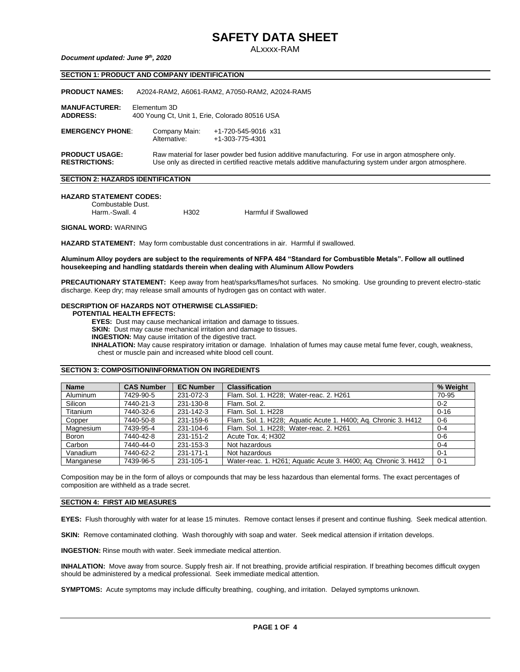ALxxxx-RAM

### *Document updated: June 9th , 2020*

# **SECTION 1: PRODUCT AND COMPANY IDENTIFICATION**

| <b>PRODUCT NAMES:</b>                         | A2024-RAM2, A6061-RAM2, A7050-RAM2, A2024-RAM5                 |                                                                                                                                                                                                               |  |  |
|-----------------------------------------------|----------------------------------------------------------------|---------------------------------------------------------------------------------------------------------------------------------------------------------------------------------------------------------------|--|--|
| <b>MANUFACTURER:</b><br><b>ADDRESS:</b>       | Elementum 3D<br>400 Young Ct, Unit 1, Erie, Colorado 80516 USA |                                                                                                                                                                                                               |  |  |
| <b>EMERGENCY PHONE:</b>                       | Company Main:<br>Alternative:                                  | +1-720-545-9016 x31<br>+1-303-775-4301                                                                                                                                                                        |  |  |
| <b>PRODUCT USAGE:</b><br><b>RESTRICTIONS:</b> |                                                                | Raw material for laser powder bed fusion additive manufacturing. For use in argon atmosphere only.<br>Use only as directed in certified reactive metals additive manufacturing system under argon atmosphere. |  |  |

#### **SECTION 2: HAZARDS IDENTIFICATION**

## **HAZARD STATEMENT CODES:**

Combustable Dust.<br>Harm.-Swall. 4 H302 Harmful if Swallowed

**SIGNAL WORD:** WARNING

**HAZARD STATEMENT:** May form combustable dust concentrations in air. Harmful if swallowed.

#### **Aluminum Alloy poyders are subject to the requirements of NFPA 484 "Standard for Combustible Metals". Follow all outlined housekeeping and handling statdards therein when dealing with Aluminum Allow Powders**

**PRECAUTIONARY STATEMENT:** Keep away from heat/sparks/flames/hot surfaces. No smoking. Use grounding to prevent electro-static discharge. Keep dry; may release small amounts of hydrogen gas on contact with water.

# **DESCRIPTION OF HAZARDS NOT OTHERWISE CLASSIFIED:**

## **POTENTIAL HEALTH EFFECTS:**

 **EYES:** Dust may cause mechanical irritation and damage to tissues.

**SKIN:** Dust may cause mechanical irritation and damage to tissues.

 **INGESTION:** May cause irritation of the digestive tract.

 **INHALATION:** May cause respiratory irritation or damage. Inhalation of fumes may cause metal fume fever, cough, weakness, chest or muscle pain and increased white blood cell count.

## **SECTION 3: COMPOSITION/INFORMATION ON INGREDIENTS**

| <b>Name</b>  | <b>CAS Number</b> | <b>EC Number</b> | <b>Classification</b>                                           | % Weight |
|--------------|-------------------|------------------|-----------------------------------------------------------------|----------|
| Aluminum     | 7429-90-5         | 231-072-3        | Flam. Sol. 1. H228; Water-reac. 2. H261                         | 70-95    |
| Silicon      | 7440-21-3         | 231-130-8        | Flam, Sol. 2.                                                   | $0 - 2$  |
| Titanium     | 7440-32-6         | 231-142-3        | Flam, Sol. 1, H228                                              | $0 - 16$ |
| Copper       | 7440-50-8         | 231-159-6        | Flam. Sol. 1. H228; Aquatic Acute 1. H400; Aq. Chronic 3. H412  | $0 - 6$  |
| Magnesium    | 7439-95-4         | 231-104-6        | Flam. Sol. 1. H228; Water-reac. 2. H261                         | $0 - 4$  |
| <b>Boron</b> | 7440-42-8         | 231-151-2        | Acute Tox. 4; H302                                              | $0 - 6$  |
| Carbon       | 7440-44-0         | 231-153-3        | Not hazardous                                                   | $0 - 4$  |
| Vanadium     | 7440-62-2         | 231-171-1        | Not hazardous                                                   | $0 - 1$  |
| Manganese    | 7439-96-5         | 231-105-1        | Water-reac. 1. H261; Aquatic Acute 3. H400; Aq. Chronic 3. H412 | $0 - 1$  |

Composition may be in the form of alloys or compounds that may be less hazardous than elemental forms. The exact percentages of composition are withheld as a trade secret.

# **SECTION 4: FIRST AID MEASURES**

**EYES:** Flush thoroughly with water for at lease 15 minutes. Remove contact lenses if present and continue flushing. Seek medical attention.

**SKIN:** Remove contaminated clothing. Wash thoroughly with soap and water. Seek medical attension if irritation develops.

**INGESTION:** Rinse mouth with water. Seek immediate medical attention.

**INHALATION:** Move away from source. Supply fresh air. If not breathing, provide artificial respiration. If breathing becomes difficult oxygen should be administered by a medical professional. Seek immediate medical attention.

**SYMPTOMS:** Acute symptoms may include difficulty breathing, coughing, and irritation. Delayed symptoms unknown.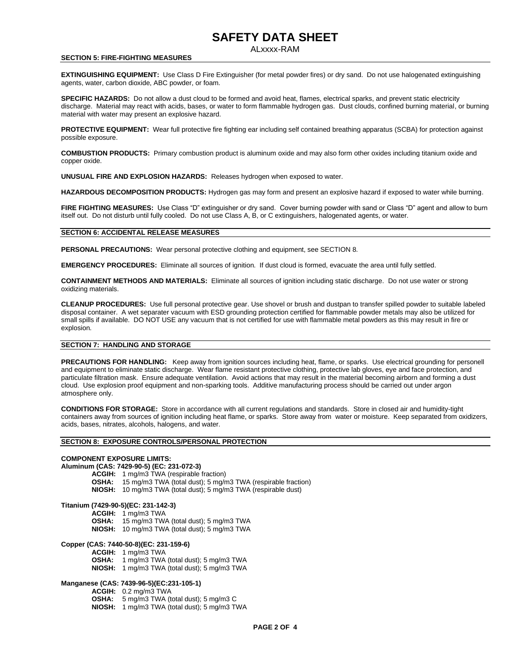# ALxxxx-RAM

#### **SECTION 5: FIRE-FIGHTING MEASURES**

**EXTINGUISHING EQUIPMENT:** Use Class D Fire Extinguisher (for metal powder fires) or dry sand. Do not use halogenated extinguishing agents, water, carbon dioxide, ABC powder, or foam.

**SPECIFIC HAZARDS:** Do not allow a dust cloud to be formed and avoid heat, flames, electrical sparks, and prevent static electricity discharge. Material may react with acids, bases, or water to form flammable hydrogen gas. Dust clouds, confined burning material, or burning material with water may present an explosive hazard.

**PROTECTIVE EQUIPMENT:** Wear full protective fire fighting ear including self contained breathing apparatus (SCBA) for protection against possible exposure.

**COMBUSTION PRODUCTS:** Primary combustion product is aluminum oxide and may also form other oxides including titanium oxide and copper oxide.

**UNUSUAL FIRE AND EXPLOSION HAZARDS:** Releases hydrogen when exposed to water.

**HAZARDOUS DECOMPOSITION PRODUCTS:** Hydrogen gas may form and present an explosive hazard if exposed to water while burning.

**FIRE FIGHTING MEASURES:** Use Class "D" extinguisher or dry sand. Cover burning powder with sand or Class "D" agent and allow to burn itself out. Do not disturb until fully cooled. Do not use Class A, B, or C extinguishers, halogenated agents, or water.

#### **SECTION 6: ACCIDENTAL RELEASE MEASURES**

**PERSONAL PRECAUTIONS:** Wear personal protective clothing and equipment, see SECTION 8.

**EMERGENCY PROCEDURES:** Eliminate all sources of ignition. If dust cloud is formed, evacuate the area until fully settled.

**CONTAINMENT METHODS AND MATERIALS:** Eliminate all sources of ignition including static discharge. Do not use water or strong oxidizing materials.

**CLEANUP PROCEDURES:** Use full personal protective gear. Use shovel or brush and dustpan to transfer spilled powder to suitable labeled disposal container. A wet separater vacuum with ESD grounding protection certified for flammable powder metals may also be utilized for small spills if available. DO NOT USE any vacuum that is not certified for use with flammable metal powders as this may result in fire or explosion.

## **SECTION 7: HANDLING AND STORAGE**

**PRECAUTIONS FOR HANDLING:** Keep away from ignition sources including heat, flame, or sparks. Use electrical grounding for personell and equipment to eliminate static discharge. Wear flame resistant protective clothing, protective lab gloves, eye and face protection, and particulate filtration mask. Ensure adequate ventilation. Avoid actions that may result in the material becoming airborn and forming a dust cloud. Use explosion proof equipment and non-sparking tools. Additive manufacturing process should be carried out under argon atmosphere only.

**CONDITIONS FOR STORAGE:** Store in accordance with all current regulations and standards. Store in closed air and humidity-tight containers away from sources of ignition including heat flame, or sparks. Store away from water or moisture. Keep separated from oxidizers, acids, bases, nitrates, alcohols, halogens, and water.

## **SECTION 8: EXPOSURE CONTROLS/PERSONAL PROTECTION**

### **COMPONENT EXPOSURE LIMITS:**

# **Aluminum (CAS: 7429-90-5) (EC: 231-072-3)**

**ACGIH:** 1 mg/m3 TWA (respirable fraction)

- **OSHA:** 15 mg/m3 TWA (total dust); 5 mg/m3 TWA (respirable fraction)
- **NIOSH:** 10 mg/m3 TWA (total dust); 5 mg/m3 TWA (respirable dust)

#### **Titanium (7429-90-5)(EC: 231-142-3)**

**ACGIH:** 1 mg/m3 TWA **OSHA:** 15 mg/m3 TWA (total dust); 5 mg/m3 TWA

**NIOSH:** 10 mg/m3 TWA (total dust); 5 mg/m3 TWA

### **Copper (CAS: 7440-50-8)(EC: 231-159-6)**

- **ACGIH:** 1 mg/m3 TWA
- **OSHA:** 1 mg/m3 TWA (total dust); 5 mg/m3 TWA
- **NIOSH:** 1 mg/m3 TWA (total dust); 5 mg/m3 TWA

# **Manganese (CAS: 7439-96-5)(EC:231-105-1)**

- **ACGIH:** 0.2 mg/m3 TWA
- **OSHA:** 5 mg/m3 TWA (total dust); 5 mg/m3 C
- **NIOSH:** 1 mg/m3 TWA (total dust); 5 mg/m3 TWA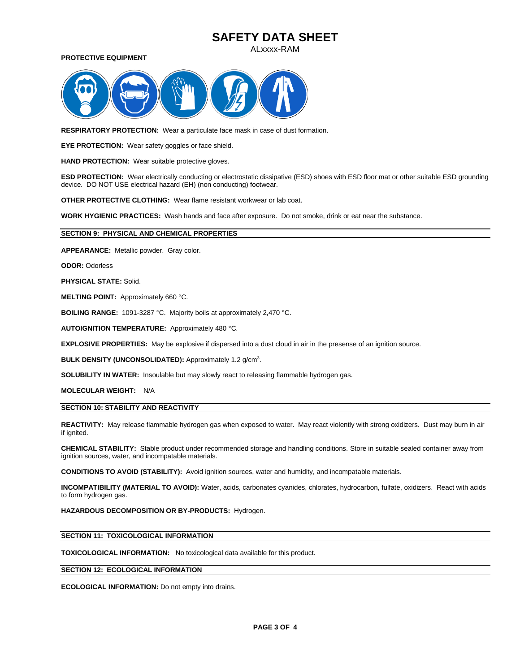ALxxxx-RAM

**PROTECTIVE EQUIPMENT**



**RESPIRATORY PROTECTION:** Wear a particulate face mask in case of dust formation.

**EYE PROTECTION:** Wear safety goggles or face shield.

**HAND PROTECTION:** Wear suitable protective gloves.

**ESD PROTECTION:** Wear electrically conducting or electrostatic dissipative (ESD) shoes with ESD floor mat or other suitable ESD grounding device. DO NOT USE electrical hazard (EH) (non conducting) footwear.

**OTHER PROTECTIVE CLOTHING:** Wear flame resistant workwear or lab coat.

**WORK HYGIENIC PRACTICES:** Wash hands and face after exposure. Do not smoke, drink or eat near the substance.

## **SECTION 9: PHYSICAL AND CHEMICAL PROPERTIES**

**APPEARANCE:** Metallic powder. Gray color.

**ODOR:** Odorless

**PHYSICAL STATE:** Solid.

**MELTING POINT:** Approximately 660 °C.

**BOILING RANGE:** 1091-3287 °C. Majority boils at approximately 2,470 °C.

**AUTOIGNITION TEMPERATURE:** Approximately 480 °C.

**EXPLOSIVE PROPERTIES:** May be explosive if dispersed into a dust cloud in air in the presense of an ignition source.

BULK DENSITY (UNCONSOLIDATED): Approximately 1.2 g/cm<sup>3</sup>.

**SOLUBILITY IN WATER:** Insoulable but may slowly react to releasing flammable hydrogen gas.

**MOLECULAR WEIGHT:** N/A

# **SECTION 10: STABILITY AND REACTIVITY**

**REACTIVITY:** May release flammable hydrogen gas when exposed to water. May react violently with strong oxidizers. Dust may burn in air if ignited.

**CHEMICAL STABILITY:** Stable product under recommended storage and handling conditions. Store in suitable sealed container away from ignition sources, water, and incompatable materials.

**CONDITIONS TO AVOID (STABILITY):** Avoid ignition sources, water and humidity, and incompatable materials.

**INCOMPATIBILITY (MATERIAL TO AVOID):** Water, acids, carbonates cyanides, chlorates, hydrocarbon, fulfate, oxidizers. React with acids to form hydrogen gas.

**HAZARDOUS DECOMPOSITION OR BY-PRODUCTS:** Hydrogen.

## **SECTION 11: TOXICOLOGICAL INFORMATION**

**TOXICOLOGICAL INFORMATION:** No toxicological data available for this product.

# **SECTION 12: ECOLOGICAL INFORMATION**

**ECOLOGICAL INFORMATION:** Do not empty into drains.